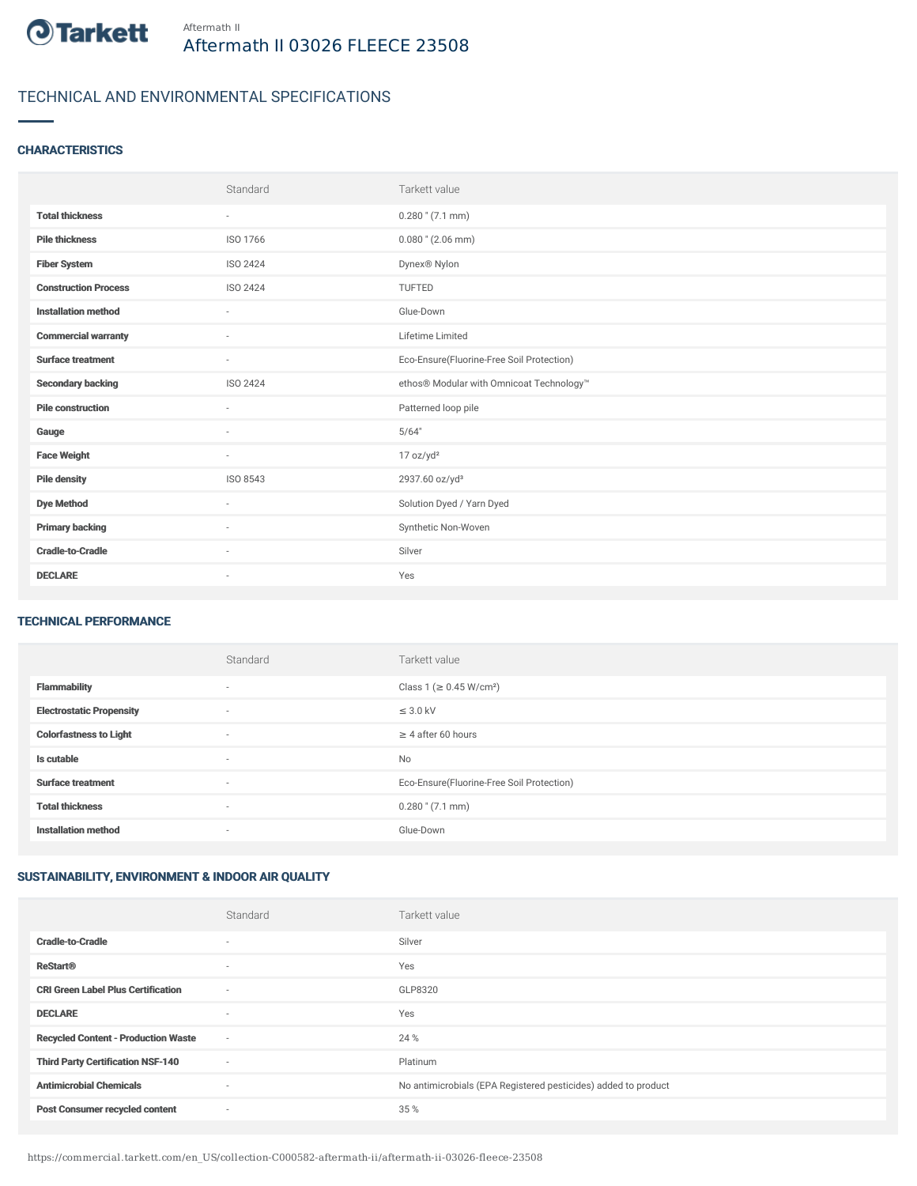

# TECHNICAL AND ENVIRONMENTAL SPECIFICATIONS

### **CHARACTERISTICS**

|                             | Standard                 | Tarkett value                             |
|-----------------------------|--------------------------|-------------------------------------------|
| <b>Total thickness</b>      | $\overline{\phantom{a}}$ | $0.280$ " $(7.1$ mm)                      |
| <b>Pile thickness</b>       | ISO 1766                 | $0.080$ " (2.06 mm)                       |
| <b>Fiber System</b>         | ISO 2424                 | Dynex <sup>®</sup> Nylon                  |
| <b>Construction Process</b> | ISO 2424                 | TUFTED                                    |
| <b>Installation method</b>  | $\sim$                   | Glue-Down                                 |
| <b>Commercial warranty</b>  | ٠                        | Lifetime Limited                          |
| <b>Surface treatment</b>    | $\overline{\phantom{a}}$ | Eco-Ensure(Fluorine-Free Soil Protection) |
| <b>Secondary backing</b>    | ISO 2424                 | ethos® Modular with Omnicoat Technology™  |
| <b>Pile construction</b>    | $\sim$                   | Patterned loop pile                       |
| Gauge                       | ٠                        | 5/64"                                     |
| <b>Face Weight</b>          | $\sim$                   | 17 oz/yd <sup>2</sup>                     |
| <b>Pile density</b>         | ISO 8543                 | 2937.60 oz/yd <sup>3</sup>                |
| <b>Dye Method</b>           | ٠                        | Solution Dyed / Yarn Dyed                 |
| <b>Primary backing</b>      | ٠                        | Synthetic Non-Woven                       |
| <b>Cradle-to-Cradle</b>     | ٠                        | Silver                                    |
| <b>DECLARE</b>              | $\overline{\phantom{a}}$ | Yes                                       |

#### TECHNICAL PERFORMANCE

|                                 | Standard                 | Tarkett value                             |
|---------------------------------|--------------------------|-------------------------------------------|
| <b>Flammability</b>             | $\sim$                   | Class 1 (≥ 0.45 W/cm <sup>2</sup> )       |
| <b>Electrostatic Propensity</b> | $\sim$                   | $\leq$ 3.0 kV                             |
| <b>Colorfastness to Light</b>   | $\sim$                   | $\geq$ 4 after 60 hours                   |
| Is cutable                      | $\sim$                   | No                                        |
| <b>Surface treatment</b>        | $\overline{\phantom{a}}$ | Eco-Ensure(Fluorine-Free Soil Protection) |
| <b>Total thickness</b>          | $\overline{\phantom{a}}$ | $0.280$ " (7.1 mm)                        |
| <b>Installation method</b>      | $\sim$                   | Glue-Down                                 |

## SUSTAINABILITY, ENVIRONMENT & INDOOR AIR QUALITY

|                                            | Standard                 | Tarkett value                                                  |
|--------------------------------------------|--------------------------|----------------------------------------------------------------|
| <b>Cradle-to-Cradle</b>                    | $\overline{\phantom{a}}$ | Silver                                                         |
| <b>ReStart®</b>                            | ٠                        | Yes                                                            |
| <b>CRI Green Label Plus Certification</b>  | $\sim$                   | GLP8320                                                        |
| <b>DECLARE</b>                             | $\overline{\phantom{a}}$ | Yes                                                            |
| <b>Recycled Content - Production Waste</b> | $\sim$                   | 24 %                                                           |
| <b>Third Party Certification NSF-140</b>   | $\sim$                   | Platinum                                                       |
| <b>Antimicrobial Chemicals</b>             | ٠                        | No antimicrobials (EPA Registered pesticides) added to product |
| <b>Post Consumer recycled content</b>      | $\sim$                   | 35 %                                                           |